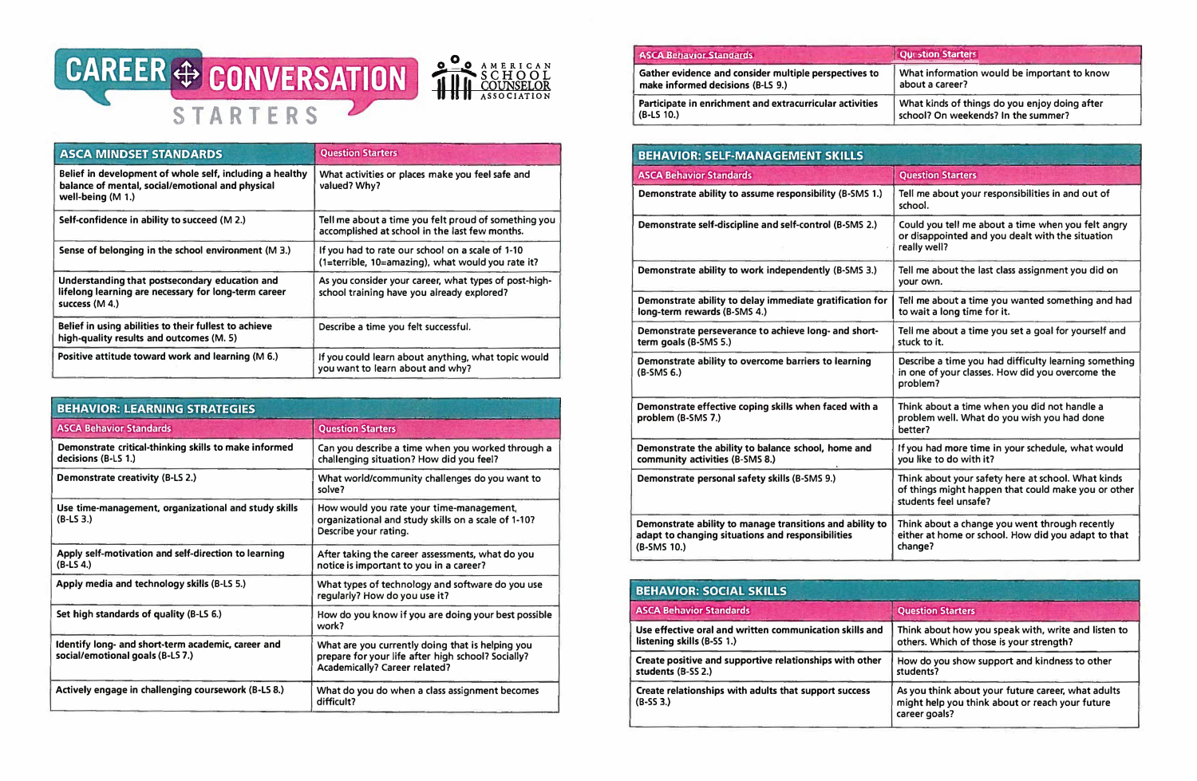

| <b>ASCA MINDSET STANDARDS</b>                                                                                                     | <b>Question Starters</b>                                                                               |
|-----------------------------------------------------------------------------------------------------------------------------------|--------------------------------------------------------------------------------------------------------|
| Belief in development of whole self, including a healthy<br>balance of mental, social/emotional and physical<br>well-being (M 1.) | What activities or places make you feel safe and<br>valued? Why?                                       |
| Self-confidence in ability to succeed (M 2.)                                                                                      | Tell me about a time you felt proud of something you<br>accomplished at school in the last few months. |
| Sense of belonging in the school environment (M 3.)                                                                               | If you had to rate our school on a scale of 1-10<br>(1=terrible, 10=amazing), what would you rate it?  |
| Understanding that postsecondary education and<br>lifelong learning are necessary for long-term career<br>success (M 4.)          | As you consider your career, what types of post-high-<br>school training have you already explored?    |
| Belief in using abilities to their fullest to achieve<br>high-quality results and outcomes (M. 5)                                 | Describe a time you felt successful.                                                                   |
| Positive attitude toward work and learning (M 6.)                                                                                 | If you could learn about anything, what topic would<br>you want to learn about and why?                |

| <b>BEHAVIOR: LEARNING STRATEGIES</b>                                                  |                                                                                                                                                |  |
|---------------------------------------------------------------------------------------|------------------------------------------------------------------------------------------------------------------------------------------------|--|
| <b>ASCA Behavior Standards</b>                                                        | <b>Question Starters</b>                                                                                                                       |  |
| Demonstrate critical-thinking skills to make informed<br>decisions (B-LS 1.)          | Can you describe a time when you worked through a<br>challenging situation? How did you feel?                                                  |  |
| Demonstrate creativity (B-LS 2.)                                                      | What world/community challenges do you want to<br>solve?                                                                                       |  |
| Use time-management, organizational and study skills<br>$(B-LS3)$                     | How would you rate your time-management,<br>organizational and study skills on a scale of 1-10?<br>Describe your rating.                       |  |
| Apply self-motivation and self-direction to learning<br>$(B-LS 4.)$                   | After taking the career assessments, what do you<br>notice is important to you in a career?                                                    |  |
| Apply media and technology skills (B-LS 5.)                                           | What types of technology and software do you use<br>regularly? How do you use it?                                                              |  |
| Set high standards of quality (B-LS 6.)                                               | How do you know if you are doing your best possible<br>work?                                                                                   |  |
| Identify long- and short-term academic, career and<br>social/emotional goals (B-L57.) | What are you currently doing that is helping you<br>prepare for your life after high school? Socially?<br><b>Academically? Career related?</b> |  |
| Actively engage in challenging coursework (B-LS 8.)                                   | What do you do when a class assignment becomes<br>difficult?                                                                                   |  |

## **ASCA Benavior Standards**

**Gather evidence and consider multiple perspectives to make informed decisions (B-LS 9.)** 

**Participate in enrichment and extracurricular activities (B-LS 10.)** 

|   | <b>Question Starters</b>                                                             |  |
|---|--------------------------------------------------------------------------------------|--|
| O | What information would be important to know<br>about a career?                       |  |
| S | What kinds of things do you enjoy doing after<br>school? On weekends? In the summer? |  |

| <b>BEHAVIOR: SELF-MANAGEMENT SKILLS</b>                                                                                      |                                                                                                                                    |  |  |
|------------------------------------------------------------------------------------------------------------------------------|------------------------------------------------------------------------------------------------------------------------------------|--|--|
| <b>ASCA Behavior Standards</b>                                                                                               | <b>Question Starters</b>                                                                                                           |  |  |
| Demonstrate ability to assume responsibility (B-SMS 1.)                                                                      | Tell me about your responsibilities in and out of<br>school.                                                                       |  |  |
| Demonstrate self-discipline and self-control (B-SMS 2.)                                                                      | Could you tell me about a time when you felt angry<br>or disappointed and you dealt with the situation<br>really well?             |  |  |
| Demonstrate ability to work independently (B-SMS 3.)                                                                         | Tell me about the last class assignment you did on<br>your own.                                                                    |  |  |
| Demonstrate ability to delay immediate gratification for<br>long-term rewards (B-SMS 4.)                                     | Tell me about a time you wanted something and had<br>to wait a long time for it.                                                   |  |  |
| Demonstrate perseverance to achieve long- and short-<br>term goals (B-SMS 5.)                                                | Tell me about a time you set a goal for yourself and<br>stuck to it.                                                               |  |  |
| Demonstrate ability to overcome barriers to learning<br>(B-SMS 6.)                                                           | Describe a time you had difficulty learning something<br>in one of your classes. How did you overcome the<br>problem?              |  |  |
| Demonstrate effective coping skills when faced with a<br>problem (B-SMS 7.)                                                  | Think about a time when you did not handle a<br>problem well. What do you wish you had done<br>better?                             |  |  |
| Demonstrate the ability to balance school, home and<br>community activities (B-SMS 8.)                                       | If you had more time in your schedule, what would<br>you like to do with it?                                                       |  |  |
| Demonstrate personal safety skills (B-SMS 9.)                                                                                | Think about your safety here at school. What kinds<br>of things might happen that could make you or other<br>students feel unsafe? |  |  |
| Demonstrate ability to manage transitions and ability to<br>adapt to changing situations and responsibilities<br>(B-SMS 10.) | Think about a change you went through recently<br>either at home or school. How did you adapt to that<br>change?                   |  |  |
|                                                                                                                              |                                                                                                                                    |  |  |
| <b>BEHAVIOR: SOCIAL SKILLS</b>                                                                                               |                                                                                                                                    |  |  |
| <b>ASCA Behavior Standards</b>                                                                                               | <b>Question Starters</b>                                                                                                           |  |  |
| Use effective oral and written communication skills and<br>listening skills (B-SS 1.)                                        | Think about how you speak with, write and listen to<br>others. Which of those is your strength?                                    |  |  |
| Create positive and supportive relationships with other<br>students (B-SS 2.)                                                | How do you show support and kindness to other<br>students?                                                                         |  |  |
| Create relationships with adults that support success<br>$(B-553.)$                                                          | As you think about your future career, what adults<br>might help you think about or reach your future<br>career goals?             |  |  |